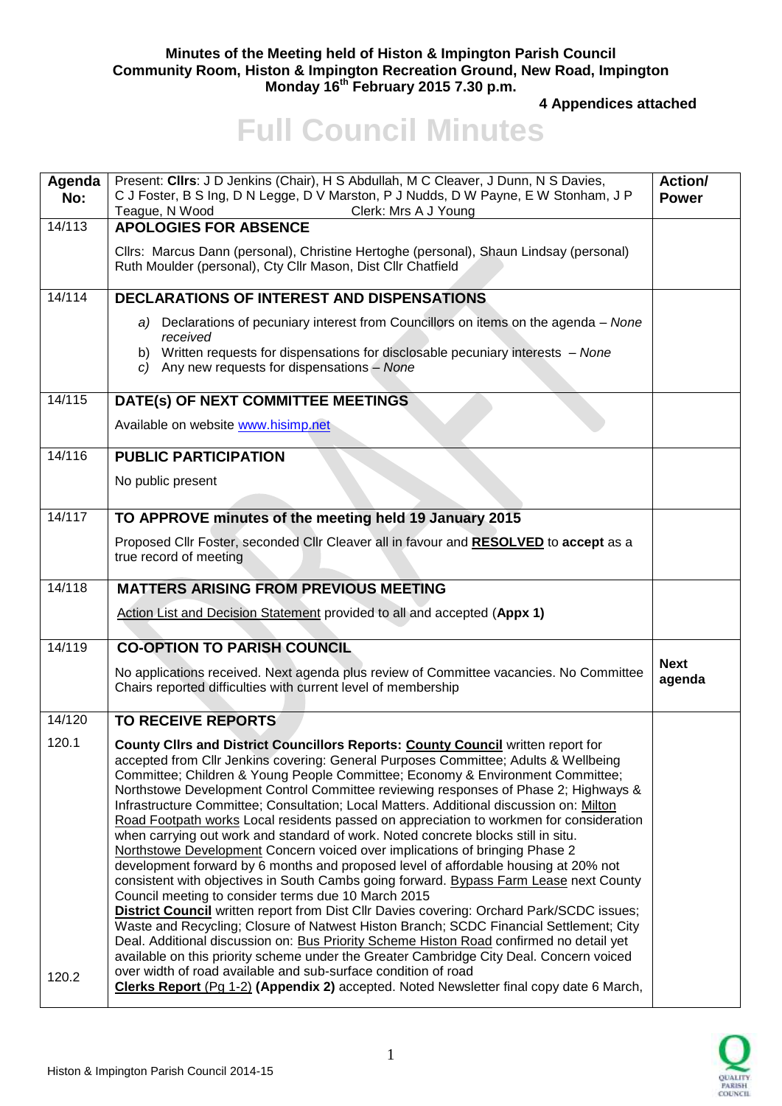## **Minutes of the Meeting held of Histon & Impington Parish Council Community Room, Histon & Impington Recreation Ground, New Road, Impington Monday 16th February 2015 7.30 p.m.**

**4 Appendices attached** 

## **Full Council Minutes**

| Agenda<br>No: | Present: Clirs: J D Jenkins (Chair), H S Abdullah, M C Cleaver, J Dunn, N S Davies,<br>C J Foster, B S Ing, D N Legge, D V Marston, P J Nudds, D W Payne, E W Stonham, J P<br>Teague, N Wood<br>Clerk: Mrs A J Young                                                                                                                                                                                                                                                                                                                                                                                                                                                                                                                                                                                                                                                                                                                                                                                                                                                                                                                                                                                                                                                                                                                          | <b>Action/</b><br><b>Power</b> |
|---------------|-----------------------------------------------------------------------------------------------------------------------------------------------------------------------------------------------------------------------------------------------------------------------------------------------------------------------------------------------------------------------------------------------------------------------------------------------------------------------------------------------------------------------------------------------------------------------------------------------------------------------------------------------------------------------------------------------------------------------------------------------------------------------------------------------------------------------------------------------------------------------------------------------------------------------------------------------------------------------------------------------------------------------------------------------------------------------------------------------------------------------------------------------------------------------------------------------------------------------------------------------------------------------------------------------------------------------------------------------|--------------------------------|
| 14/113        | <b>APOLOGIES FOR ABSENCE</b>                                                                                                                                                                                                                                                                                                                                                                                                                                                                                                                                                                                                                                                                                                                                                                                                                                                                                                                                                                                                                                                                                                                                                                                                                                                                                                                  |                                |
|               | Cllrs: Marcus Dann (personal), Christine Hertoghe (personal), Shaun Lindsay (personal)<br>Ruth Moulder (personal), Cty Cllr Mason, Dist Cllr Chatfield                                                                                                                                                                                                                                                                                                                                                                                                                                                                                                                                                                                                                                                                                                                                                                                                                                                                                                                                                                                                                                                                                                                                                                                        |                                |
| 14/114        | <b>DECLARATIONS OF INTEREST AND DISPENSATIONS</b>                                                                                                                                                                                                                                                                                                                                                                                                                                                                                                                                                                                                                                                                                                                                                                                                                                                                                                                                                                                                                                                                                                                                                                                                                                                                                             |                                |
|               | a) Declarations of pecuniary interest from Councillors on items on the agenda – None<br>received                                                                                                                                                                                                                                                                                                                                                                                                                                                                                                                                                                                                                                                                                                                                                                                                                                                                                                                                                                                                                                                                                                                                                                                                                                              |                                |
|               | b) Written requests for dispensations for disclosable pecuniary interests - None<br>c) Any new requests for dispensations - None                                                                                                                                                                                                                                                                                                                                                                                                                                                                                                                                                                                                                                                                                                                                                                                                                                                                                                                                                                                                                                                                                                                                                                                                              |                                |
| 14/115        | DATE(s) OF NEXT COMMITTEE MEETINGS                                                                                                                                                                                                                                                                                                                                                                                                                                                                                                                                                                                                                                                                                                                                                                                                                                                                                                                                                                                                                                                                                                                                                                                                                                                                                                            |                                |
|               | Available on website www.hisimp.net                                                                                                                                                                                                                                                                                                                                                                                                                                                                                                                                                                                                                                                                                                                                                                                                                                                                                                                                                                                                                                                                                                                                                                                                                                                                                                           |                                |
| 14/116        | <b>PUBLIC PARTICIPATION</b>                                                                                                                                                                                                                                                                                                                                                                                                                                                                                                                                                                                                                                                                                                                                                                                                                                                                                                                                                                                                                                                                                                                                                                                                                                                                                                                   |                                |
|               | No public present                                                                                                                                                                                                                                                                                                                                                                                                                                                                                                                                                                                                                                                                                                                                                                                                                                                                                                                                                                                                                                                                                                                                                                                                                                                                                                                             |                                |
| 14/117        | TO APPROVE minutes of the meeting held 19 January 2015                                                                                                                                                                                                                                                                                                                                                                                                                                                                                                                                                                                                                                                                                                                                                                                                                                                                                                                                                                                                                                                                                                                                                                                                                                                                                        |                                |
|               | Proposed Cllr Foster, seconded Cllr Cleaver all in favour and RESOLVED to accept as a<br>true record of meeting                                                                                                                                                                                                                                                                                                                                                                                                                                                                                                                                                                                                                                                                                                                                                                                                                                                                                                                                                                                                                                                                                                                                                                                                                               |                                |
| 14/118        | <b>MATTERS ARISING FROM PREVIOUS MEETING</b>                                                                                                                                                                                                                                                                                                                                                                                                                                                                                                                                                                                                                                                                                                                                                                                                                                                                                                                                                                                                                                                                                                                                                                                                                                                                                                  |                                |
|               | Action List and Decision Statement provided to all and accepted (Appx 1)                                                                                                                                                                                                                                                                                                                                                                                                                                                                                                                                                                                                                                                                                                                                                                                                                                                                                                                                                                                                                                                                                                                                                                                                                                                                      |                                |
| 14/119        | <b>CO-OPTION TO PARISH COUNCIL</b>                                                                                                                                                                                                                                                                                                                                                                                                                                                                                                                                                                                                                                                                                                                                                                                                                                                                                                                                                                                                                                                                                                                                                                                                                                                                                                            |                                |
|               | No applications received. Next agenda plus review of Committee vacancies. No Committee<br>Chairs reported difficulties with current level of membership                                                                                                                                                                                                                                                                                                                                                                                                                                                                                                                                                                                                                                                                                                                                                                                                                                                                                                                                                                                                                                                                                                                                                                                       | <b>Next</b><br>agenda          |
| 14/120        | <b>TO RECEIVE REPORTS</b>                                                                                                                                                                                                                                                                                                                                                                                                                                                                                                                                                                                                                                                                                                                                                                                                                                                                                                                                                                                                                                                                                                                                                                                                                                                                                                                     |                                |
| 120.1         | <b>County Clirs and District Councillors Reports: County Council written report for</b><br>accepted from Cllr Jenkins covering: General Purposes Committee; Adults & Wellbeing<br>Committee; Children & Young People Committee; Economy & Environment Committee;<br>Northstowe Development Control Committee reviewing responses of Phase 2; Highways &<br>Infrastructure Committee; Consultation; Local Matters. Additional discussion on: Milton<br>Road Footpath works Local residents passed on appreciation to workmen for consideration<br>when carrying out work and standard of work. Noted concrete blocks still in situ.<br>Northstowe Development Concern voiced over implications of bringing Phase 2<br>development forward by 6 months and proposed level of affordable housing at 20% not<br>consistent with objectives in South Cambs going forward. Bypass Farm Lease next County<br>Council meeting to consider terms due 10 March 2015<br><b>District Council</b> written report from Dist Cllr Davies covering: Orchard Park/SCDC issues;<br>Waste and Recycling; Closure of Natwest Histon Branch; SCDC Financial Settlement; City<br>Deal. Additional discussion on: Bus Priority Scheme Histon Road confirmed no detail yet<br>available on this priority scheme under the Greater Cambridge City Deal. Concern voiced |                                |
| 120.2         | over width of road available and sub-surface condition of road<br>Clerks Report (Pg 1-2) (Appendix 2) accepted. Noted Newsletter final copy date 6 March,                                                                                                                                                                                                                                                                                                                                                                                                                                                                                                                                                                                                                                                                                                                                                                                                                                                                                                                                                                                                                                                                                                                                                                                     |                                |

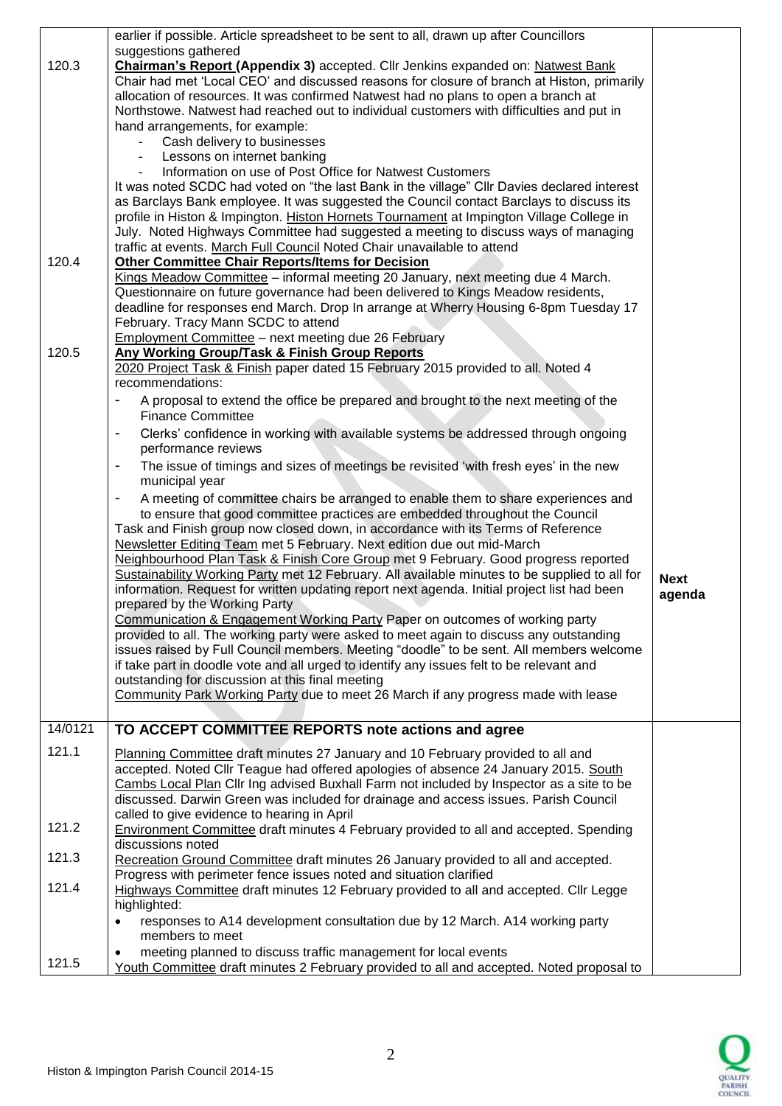|         | earlier if possible. Article spreadsheet to be sent to all, drawn up after Councillors<br>suggestions gathered                                                                      |                       |
|---------|-------------------------------------------------------------------------------------------------------------------------------------------------------------------------------------|-----------------------|
| 120.3   | <b>Chairman's Report (Appendix 3)</b> accepted. Cllr Jenkins expanded on: Natwest Bank                                                                                              |                       |
|         | Chair had met 'Local CEO' and discussed reasons for closure of branch at Histon, primarily                                                                                          |                       |
|         | allocation of resources. It was confirmed Natwest had no plans to open a branch at                                                                                                  |                       |
|         | Northstowe. Natwest had reached out to individual customers with difficulties and put in                                                                                            |                       |
|         | hand arrangements, for example:                                                                                                                                                     |                       |
|         | Cash delivery to businesses<br>Lessons on internet banking                                                                                                                          |                       |
|         | Information on use of Post Office for Natwest Customers                                                                                                                             |                       |
|         | It was noted SCDC had voted on "the last Bank in the village" Cllr Davies declared interest                                                                                         |                       |
|         | as Barclays Bank employee. It was suggested the Council contact Barclays to discuss its                                                                                             |                       |
|         | profile in Histon & Impington. Histon Hornets Tournament at Impington Village College in                                                                                            |                       |
|         | July. Noted Highways Committee had suggested a meeting to discuss ways of managing                                                                                                  |                       |
| 120.4   | traffic at events. March Full Council Noted Chair unavailable to attend                                                                                                             |                       |
|         | <b>Other Committee Chair Reports/Items for Decision</b><br>Kings Meadow Committee - informal meeting 20 January, next meeting due 4 March.                                          |                       |
|         | Questionnaire on future governance had been delivered to Kings Meadow residents,                                                                                                    |                       |
|         | deadline for responses end March. Drop In arrange at Wherry Housing 6-8pm Tuesday 17                                                                                                |                       |
|         | February. Tracy Mann SCDC to attend                                                                                                                                                 |                       |
|         | <b>Employment Committee - next meeting due 26 February</b>                                                                                                                          |                       |
| 120.5   | Any Working Group/Task & Finish Group Reports                                                                                                                                       |                       |
|         | 2020 Project Task & Finish paper dated 15 February 2015 provided to all. Noted 4                                                                                                    |                       |
|         | recommendations:<br>A proposal to extend the office be prepared and brought to the next meeting of the<br>$\overline{\phantom{0}}$                                                  |                       |
|         | <b>Finance Committee</b>                                                                                                                                                            |                       |
|         | Clerks' confidence in working with available systems be addressed through ongoing                                                                                                   |                       |
|         | performance reviews                                                                                                                                                                 |                       |
|         | The issue of timings and sizes of meetings be revisited 'with fresh eyes' in the new<br>$\blacksquare$                                                                              |                       |
|         | municipal year                                                                                                                                                                      |                       |
|         | A meeting of committee chairs be arranged to enable them to share experiences and<br>$\overline{\phantom{a}}$                                                                       |                       |
|         | to ensure that good committee practices are embedded throughout the Council                                                                                                         |                       |
|         | Task and Finish group now closed down, in accordance with its Terms of Reference                                                                                                    |                       |
|         | Newsletter Editing Team met 5 February. Next edition due out mid-March<br>Neighbourhood Plan Task & Finish Core Group met 9 February. Good progress reported                        |                       |
|         | Sustainability Working Party met 12 February. All available minutes to be supplied to all for                                                                                       |                       |
|         | information. Request for written updating report next agenda. Initial project list had been                                                                                         | <b>Next</b><br>agenda |
|         | prepared by the Working Party                                                                                                                                                       |                       |
|         | Communication & Engagement Working Party Paper on outcomes of working party                                                                                                         |                       |
|         | provided to all. The working party were asked to meet again to discuss any outstanding                                                                                              |                       |
|         | issues raised by Full Council members. Meeting "doodle" to be sent. All members welcome<br>if take part in doodle vote and all urged to identify any issues felt to be relevant and |                       |
|         | outstanding for discussion at this final meeting                                                                                                                                    |                       |
|         | Community Park Working Party due to meet 26 March if any progress made with lease                                                                                                   |                       |
|         |                                                                                                                                                                                     |                       |
| 14/0121 | TO ACCEPT COMMITTEE REPORTS note actions and agree                                                                                                                                  |                       |
| 121.1   | Planning Committee draft minutes 27 January and 10 February provided to all and                                                                                                     |                       |
|         | accepted. Noted Cllr Teague had offered apologies of absence 24 January 2015. South                                                                                                 |                       |
|         | Cambs Local Plan Cllr Ing advised Buxhall Farm not included by Inspector as a site to be                                                                                            |                       |
|         | discussed. Darwin Green was included for drainage and access issues. Parish Council                                                                                                 |                       |
|         | called to give evidence to hearing in April                                                                                                                                         |                       |
| 121.2   | <b>Environment Committee draft minutes 4 February provided to all and accepted. Spending</b><br>discussions noted                                                                   |                       |
| 121.3   | Recreation Ground Committee draft minutes 26 January provided to all and accepted.                                                                                                  |                       |
|         | Progress with perimeter fence issues noted and situation clarified                                                                                                                  |                       |
| 121.4   | Highways Committee draft minutes 12 February provided to all and accepted. Cllr Legge                                                                                               |                       |
|         | highlighted:                                                                                                                                                                        |                       |
|         | responses to A14 development consultation due by 12 March. A14 working party                                                                                                        |                       |
|         | members to meet                                                                                                                                                                     |                       |
| 121.5   | meeting planned to discuss traffic management for local events                                                                                                                      |                       |
|         | Youth Committee draft minutes 2 February provided to all and accepted. Noted proposal to                                                                                            |                       |

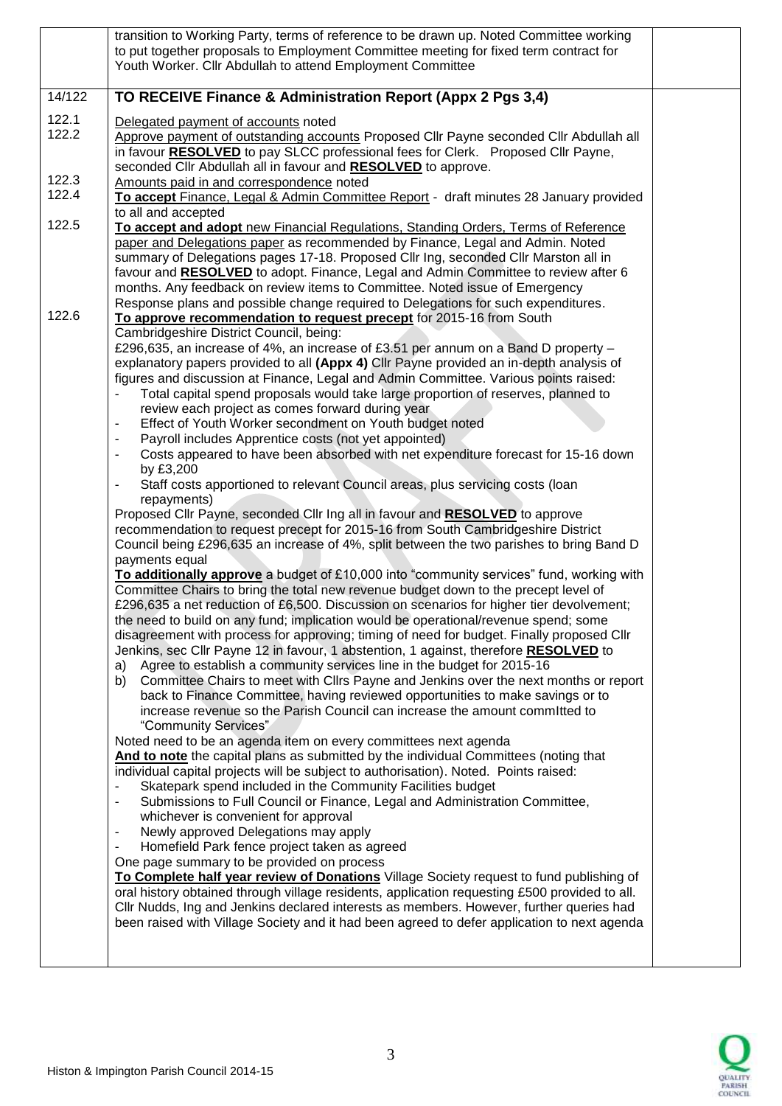|                | transition to Working Party, terms of reference to be drawn up. Noted Committee working<br>to put together proposals to Employment Committee meeting for fixed term contract for<br>Youth Worker. Cllr Abdullah to attend Employment Committee                                                                                                                                                                                                                                                                                                                                                                                                                                                                                                                                                                                                                                                                                                                                                                                                                                                                                                                                                                                                                                                                                                                                                                                                                                                                                                                                                                                                                                                                                                                                                                                                                                                                                                                                                                                                                                                                                                                                                                                                                                                                                                                                                                                                                                                                                                                                                                                                                                                                                                                                                                                                                                                                                                                                                                                                           |  |
|----------------|----------------------------------------------------------------------------------------------------------------------------------------------------------------------------------------------------------------------------------------------------------------------------------------------------------------------------------------------------------------------------------------------------------------------------------------------------------------------------------------------------------------------------------------------------------------------------------------------------------------------------------------------------------------------------------------------------------------------------------------------------------------------------------------------------------------------------------------------------------------------------------------------------------------------------------------------------------------------------------------------------------------------------------------------------------------------------------------------------------------------------------------------------------------------------------------------------------------------------------------------------------------------------------------------------------------------------------------------------------------------------------------------------------------------------------------------------------------------------------------------------------------------------------------------------------------------------------------------------------------------------------------------------------------------------------------------------------------------------------------------------------------------------------------------------------------------------------------------------------------------------------------------------------------------------------------------------------------------------------------------------------------------------------------------------------------------------------------------------------------------------------------------------------------------------------------------------------------------------------------------------------------------------------------------------------------------------------------------------------------------------------------------------------------------------------------------------------------------------------------------------------------------------------------------------------------------------------------------------------------------------------------------------------------------------------------------------------------------------------------------------------------------------------------------------------------------------------------------------------------------------------------------------------------------------------------------------------------------------------------------------------------------------------------------------------|--|
| 14/122         | TO RECEIVE Finance & Administration Report (Appx 2 Pgs 3,4)                                                                                                                                                                                                                                                                                                                                                                                                                                                                                                                                                                                                                                                                                                                                                                                                                                                                                                                                                                                                                                                                                                                                                                                                                                                                                                                                                                                                                                                                                                                                                                                                                                                                                                                                                                                                                                                                                                                                                                                                                                                                                                                                                                                                                                                                                                                                                                                                                                                                                                                                                                                                                                                                                                                                                                                                                                                                                                                                                                                              |  |
| 122.1<br>122.2 | Delegated payment of accounts noted<br>Approve payment of outstanding accounts Proposed Cllr Payne seconded Cllr Abdullah all<br>in favour <b>RESOLVED</b> to pay SLCC professional fees for Clerk. Proposed Cllr Payne,<br>seconded Cllr Abdullah all in favour and RESOLVED to approve.                                                                                                                                                                                                                                                                                                                                                                                                                                                                                                                                                                                                                                                                                                                                                                                                                                                                                                                                                                                                                                                                                                                                                                                                                                                                                                                                                                                                                                                                                                                                                                                                                                                                                                                                                                                                                                                                                                                                                                                                                                                                                                                                                                                                                                                                                                                                                                                                                                                                                                                                                                                                                                                                                                                                                                |  |
| 122.3<br>122.4 | Amounts paid in and correspondence noted<br>To accept Finance, Legal & Admin Committee Report - draft minutes 28 January provided<br>to all and accepted                                                                                                                                                                                                                                                                                                                                                                                                                                                                                                                                                                                                                                                                                                                                                                                                                                                                                                                                                                                                                                                                                                                                                                                                                                                                                                                                                                                                                                                                                                                                                                                                                                                                                                                                                                                                                                                                                                                                                                                                                                                                                                                                                                                                                                                                                                                                                                                                                                                                                                                                                                                                                                                                                                                                                                                                                                                                                                 |  |
| 122.5          | To accept and adopt new Financial Regulations, Standing Orders, Terms of Reference<br>paper and Delegations paper as recommended by Finance, Legal and Admin. Noted<br>summary of Delegations pages 17-18. Proposed Cllr Ing, seconded Cllr Marston all in<br>favour and <b>RESOLVED</b> to adopt. Finance, Legal and Admin Committee to review after 6<br>months. Any feedback on review items to Committee. Noted issue of Emergency<br>Response plans and possible change required to Delegations for such expenditures.                                                                                                                                                                                                                                                                                                                                                                                                                                                                                                                                                                                                                                                                                                                                                                                                                                                                                                                                                                                                                                                                                                                                                                                                                                                                                                                                                                                                                                                                                                                                                                                                                                                                                                                                                                                                                                                                                                                                                                                                                                                                                                                                                                                                                                                                                                                                                                                                                                                                                                                              |  |
| 122.6          | To approve recommendation to request precept for 2015-16 from South<br>Cambridgeshire District Council, being:<br>£296,635, an increase of 4%, an increase of £3.51 per annum on a Band D property $-$<br>explanatory papers provided to all (Appx 4) Cllr Payne provided an in-depth analysis of<br>figures and discussion at Finance, Legal and Admin Committee. Various points raised:<br>Total capital spend proposals would take large proportion of reserves, planned to<br>review each project as comes forward during year<br>Effect of Youth Worker secondment on Youth budget noted<br>Payroll includes Apprentice costs (not yet appointed)<br>Costs appeared to have been absorbed with net expenditure forecast for 15-16 down<br>by £3,200<br>Staff costs apportioned to relevant Council areas, plus servicing costs (loan<br>repayments)<br>Proposed Cllr Payne, seconded Cllr Ing all in favour and <b>RESOLVED</b> to approve<br>recommendation to request precept for 2015-16 from South Cambridgeshire District<br>Council being £296,635 an increase of 4%, split between the two parishes to bring Band D<br>payments equal<br>To additionally approve a budget of £10,000 into "community services" fund, working with<br>Committee Chairs to bring the total new revenue budget down to the precept level of<br>£296,635 a net reduction of £6,500. Discussion on scenarios for higher tier devolvement;<br>the need to build on any fund; implication would be operational/revenue spend; some<br>disagreement with process for approving; timing of need for budget. Finally proposed Cllr<br>Jenkins, sec Cllr Payne 12 in favour, 1 abstention, 1 against, therefore RESOLVED to<br>Agree to establish a community services line in the budget for 2015-16<br>a)<br>Committee Chairs to meet with Cllrs Payne and Jenkins over the next months or report<br>b)<br>back to Finance Committee, having reviewed opportunities to make savings or to<br>increase revenue so the Parish Council can increase the amount committed to<br>"Community Services"<br>Noted need to be an agenda item on every committees next agenda<br>And to note the capital plans as submitted by the individual Committees (noting that<br>individual capital projects will be subject to authorisation). Noted. Points raised:<br>Skatepark spend included in the Community Facilities budget<br>Submissions to Full Council or Finance, Legal and Administration Committee,<br>whichever is convenient for approval<br>Newly approved Delegations may apply<br>Homefield Park fence project taken as agreed<br>One page summary to be provided on process<br>To Complete half year review of Donations Village Society request to fund publishing of<br>oral history obtained through village residents, application requesting £500 provided to all.<br>Cllr Nudds, Ing and Jenkins declared interests as members. However, further queries had<br>been raised with Village Society and it had been agreed to defer application to next agenda |  |